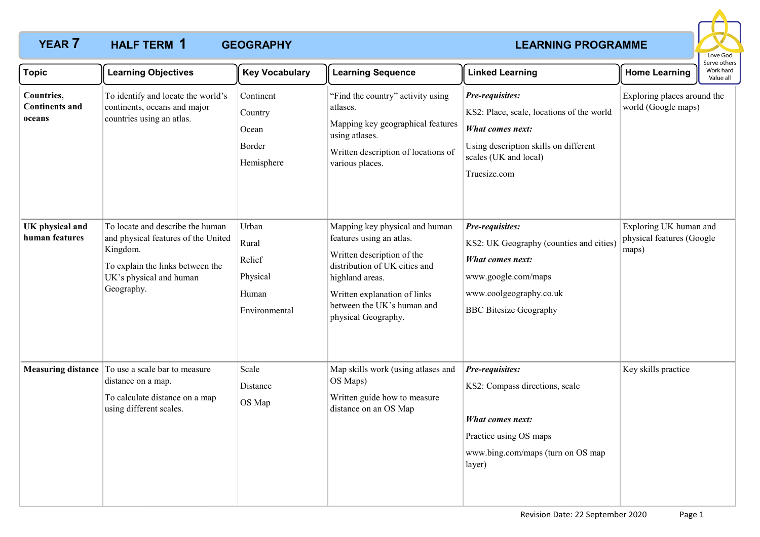# **YEAR 7 LEARNING PROGRAMME HALF TERM GEOGRAPHY 1**



| <b>Topic</b>                                  | <b>Learning Objectives</b>                                                                                                                                       | <b>Key Vocabulary</b>                                          | <b>Learning Sequence</b>                                                                                                                                                                                                          | <b>Linked Learning</b>                                                                                                                                                    | <b>Home Learning</b>                                         | Serve others<br>Work hard<br>Value all |
|-----------------------------------------------|------------------------------------------------------------------------------------------------------------------------------------------------------------------|----------------------------------------------------------------|-----------------------------------------------------------------------------------------------------------------------------------------------------------------------------------------------------------------------------------|---------------------------------------------------------------------------------------------------------------------------------------------------------------------------|--------------------------------------------------------------|----------------------------------------|
| Countries,<br><b>Continents and</b><br>oceans | To identify and locate the world's<br>continents, oceans and major<br>countries using an atlas.                                                                  | Continent<br>Country<br>Ocean<br>Border<br>Hemisphere          | "Find the country" activity using<br>atlases.<br>Mapping key geographical features<br>using atlases.<br>Written description of locations of<br>various places.                                                                    | Pre-requisites:<br>KS2: Place, scale, locations of the world<br><b>What comes next:</b><br>Using description skills on different<br>scales (UK and local)<br>Truesize.com | Exploring places around the<br>world (Google maps)           |                                        |
| UK physical and<br>human features             | To locate and describe the human<br>and physical features of the United<br>Kingdom.<br>To explain the links between the<br>UK's physical and human<br>Geography. | Urban<br>Rural<br>Relief<br>Physical<br>Human<br>Environmental | Mapping key physical and human<br>features using an atlas.<br>Written description of the<br>distribution of UK cities and<br>highland areas.<br>Written explanation of links<br>between the UK's human and<br>physical Geography. | Pre-requisites:<br>KS2: UK Geography (counties and cities)<br><b>What comes next:</b><br>www.google.com/maps<br>www.coolgeography.co.uk<br><b>BBC</b> Bitesize Geography  | Exploring UK human and<br>physical features (Google<br>maps) |                                        |
|                                               | Measuring distance   To use a scale bar to measure<br>distance on a map.<br>To calculate distance on a map<br>using different scales.                            | Scale<br>Distance<br>OS Map                                    | Map skills work (using atlases and<br>OS Maps)<br>Written guide how to measure<br>distance on an OS Map                                                                                                                           | Pre-requisites:<br>KS2: Compass directions, scale<br>What comes next:<br>Practice using OS maps<br>www.bing.com/maps (turn on OS map<br>layer)                            | Key skills practice                                          |                                        |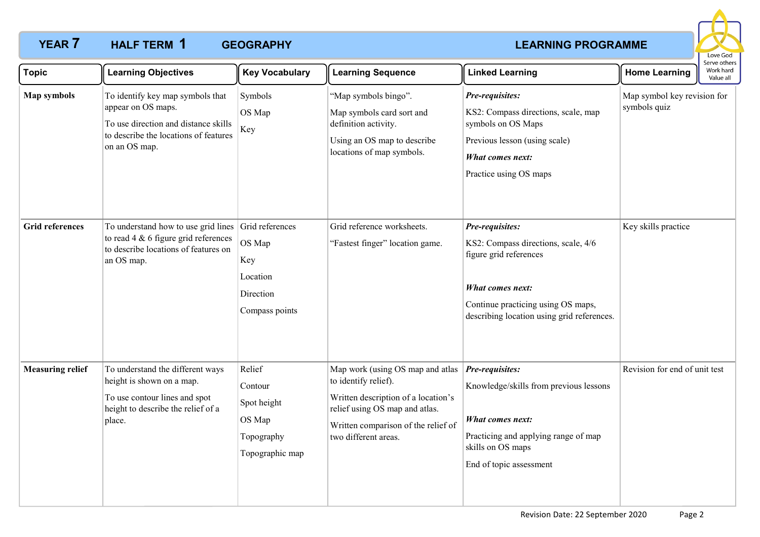# **YEAR 7 HALF TERM 1 GEOGRAPHY CONSERVANT CONSERVATION CONSERVATION CONSERVATION CONSERVATION CONSERVATION HALF TERM GEOGRAPHY 1**



| <b>Topic</b>            | <b>Learning Objectives</b>                                                                                                                               | <b>Key Vocabulary</b>                                                       | <b>Learning Sequence</b>                                                                                                                                                                         | <b>Linked Learning</b>                                                                                                                                                                   | <b>Home Learning</b>                        | Work hard<br>Value all |
|-------------------------|----------------------------------------------------------------------------------------------------------------------------------------------------------|-----------------------------------------------------------------------------|--------------------------------------------------------------------------------------------------------------------------------------------------------------------------------------------------|------------------------------------------------------------------------------------------------------------------------------------------------------------------------------------------|---------------------------------------------|------------------------|
| <b>Map symbols</b>      | To identify key map symbols that<br>appear on OS maps.<br>To use direction and distance skills<br>to describe the locations of features<br>on an OS map. | Symbols<br>OS Map<br>Key                                                    | "Map symbols bingo".<br>Map symbols card sort and<br>definition activity.<br>Using an OS map to describe<br>locations of map symbols.                                                            | Pre-requisites:<br>KS2: Compass directions, scale, map<br>symbols on OS Maps<br>Previous lesson (using scale)<br><b>What comes next:</b><br>Practice using OS maps                       | Map symbol key revision for<br>symbols quiz |                        |
| <b>Grid references</b>  | To understand how to use grid lines Grid references<br>to read $4 \& 6$ figure grid references<br>to describe locations of features on<br>an OS map.     | OS Map<br>Key<br>Location<br>Direction<br>Compass points                    | Grid reference worksheets.<br>"Fastest finger" location game.                                                                                                                                    | Pre-requisites:<br>KS2: Compass directions, scale, 4/6<br>figure grid references<br>What comes next:<br>Continue practicing using OS maps,<br>describing location using grid references. | Key skills practice                         |                        |
| <b>Measuring relief</b> | To understand the different ways<br>height is shown on a map.<br>To use contour lines and spot<br>height to describe the relief of a<br>place.           | Relief<br>Contour<br>Spot height<br>OS Map<br>Topography<br>Topographic map | Map work (using OS map and atlas<br>to identify relief).<br>Written description of a location's<br>relief using OS map and atlas.<br>Written comparison of the relief of<br>two different areas. | Pre-requisites:<br>Knowledge/skills from previous lessons<br>What comes next:<br>Practicing and applying range of map<br>skills on OS maps<br>End of topic assessment                    | Revision for end of unit test               |                        |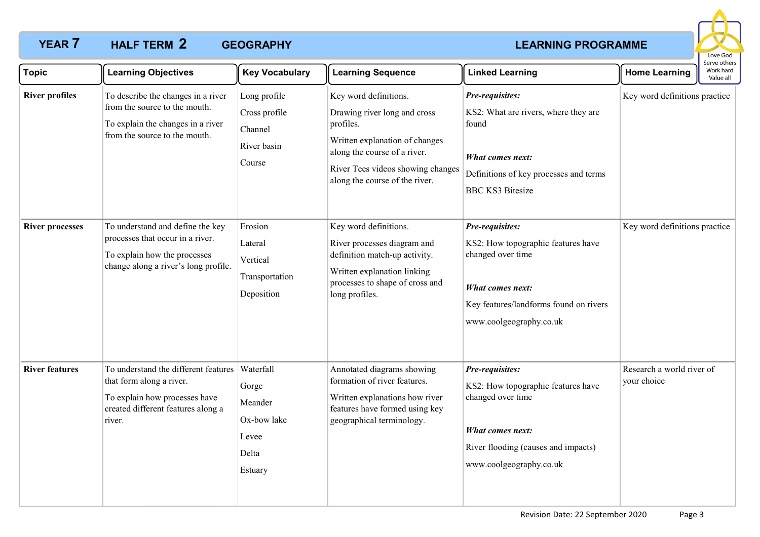# **YEAR 7 HALF TERM 2 GEOGRAPHY CONSUMING PROGRAMME HALF TERM GEOGRAPHY 2**



| <b>Topic</b>           | <b>Learning Objectives</b>                                                                                                                        | <b>Key Vocabulary</b>                                                     | <b>Learning Sequence</b>                                                                                                                                                                                    | <b>Linked Learning</b>                                                                                                                                                     | <b>Home Learning</b>                     | serve others<br>Work hard<br>Value all |
|------------------------|---------------------------------------------------------------------------------------------------------------------------------------------------|---------------------------------------------------------------------------|-------------------------------------------------------------------------------------------------------------------------------------------------------------------------------------------------------------|----------------------------------------------------------------------------------------------------------------------------------------------------------------------------|------------------------------------------|----------------------------------------|
| <b>River profiles</b>  | To describe the changes in a river<br>from the source to the mouth.<br>To explain the changes in a river<br>from the source to the mouth.         | Long profile<br>Cross profile<br>Channel<br>River basin<br>Course         | Key word definitions.<br>Drawing river long and cross<br>profiles.<br>Written explanation of changes<br>along the course of a river.<br>River Tees videos showing changes<br>along the course of the river. | Pre-requisites:<br>KS2: What are rivers, where they are<br>found<br><b>What comes next:</b><br>Definitions of key processes and terms<br><b>BBC KS3 Bitesize</b>           | Key word definitions practice            |                                        |
| <b>River processes</b> | To understand and define the key<br>processes that occur in a river.<br>To explain how the processes<br>change along a river's long profile.      | Erosion<br>Lateral<br>Vertical<br>Transportation<br>Deposition            | Key word definitions.<br>River processes diagram and<br>definition match-up activity.<br>Written explanation linking<br>processes to shape of cross and<br>long profiles.                                   | Pre-requisites:<br>KS2: How topographic features have<br>changed over time<br><b>What comes next:</b><br>Key features/landforms found on rivers<br>www.coolgeography.co.uk | Key word definitions practice            |                                        |
| <b>River features</b>  | To understand the different features<br>that form along a river.<br>To explain how processes have<br>created different features along a<br>river. | Waterfall<br>Gorge<br>Meander<br>Ox-bow lake<br>Levee<br>Delta<br>Estuary | Annotated diagrams showing<br>formation of river features.<br>Written explanations how river<br>features have formed using key<br>geographical terminology.                                                 | Pre-requisites:<br>KS2: How topographic features have<br>changed over time<br>What comes next:<br>River flooding (causes and impacts)<br>www.coolgeography.co.uk           | Research a world river of<br>your choice |                                        |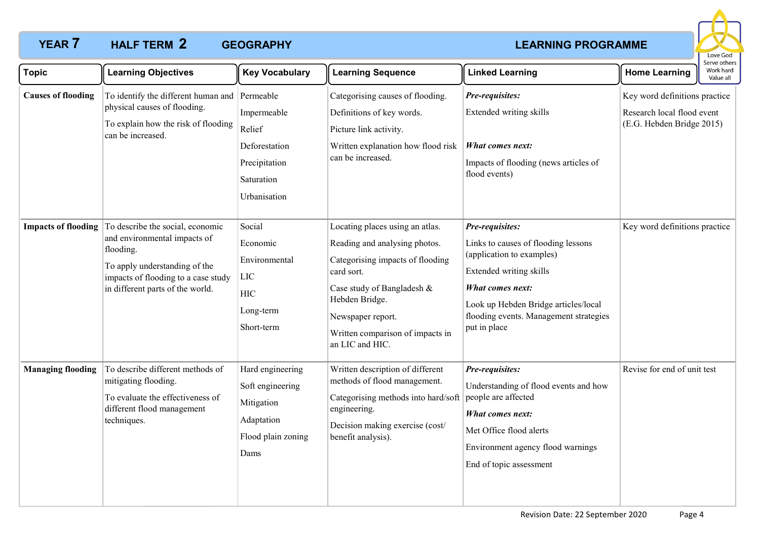# **YEAR 7 HALF TERM 2 GEOGRAPHY CONSUMING PROGRAMME HALF TERM GEOGRAPHY 2**



| <b>Topic</b>               | <b>Learning Objectives</b>                                                                                                                                                                | <b>Key Vocabulary</b>                                                                          | <b>Learning Sequence</b>                                                                                                                                                                                                                       | <b>Linked Learning</b>                                                                                                                                                                                                               | <b>Home Learning</b>                                                                     | Work hard<br>Value all |
|----------------------------|-------------------------------------------------------------------------------------------------------------------------------------------------------------------------------------------|------------------------------------------------------------------------------------------------|------------------------------------------------------------------------------------------------------------------------------------------------------------------------------------------------------------------------------------------------|--------------------------------------------------------------------------------------------------------------------------------------------------------------------------------------------------------------------------------------|------------------------------------------------------------------------------------------|------------------------|
| <b>Causes of flooding</b>  | To identify the different human and Permeable<br>physical causes of flooding.<br>To explain how the risk of flooding<br>can be increased.                                                 | Impermeable<br>Relief<br>Deforestation<br>Precipitation<br>Saturation<br>Urbanisation          | Categorising causes of flooding.<br>Definitions of key words.<br>Picture link activity.<br>Written explanation how flood risk<br>can be increased.                                                                                             | Pre-requisites:<br>Extended writing skills<br>What comes next:<br>Impacts of flooding (news articles of<br>flood events)                                                                                                             | Key word definitions practice<br>Research local flood event<br>(E.G. Hebden Bridge 2015) |                        |
| <b>Impacts of flooding</b> | To describe the social, economic<br>and environmental impacts of<br>flooding.<br>To apply understanding of the<br>impacts of flooding to a case study<br>in different parts of the world. | Social<br>Economic<br>Environmental<br>LIC<br><b>HIC</b><br>Long-term<br>Short-term            | Locating places using an atlas.<br>Reading and analysing photos.<br>Categorising impacts of flooding<br>card sort.<br>Case study of Bangladesh &<br>Hebden Bridge.<br>Newspaper report.<br>Written comparison of impacts in<br>an LIC and HIC. | Pre-requisites:<br>Links to causes of flooding lessons<br>(application to examples)<br>Extended writing skills<br>What comes next:<br>Look up Hebden Bridge articles/local<br>flooding events. Management strategies<br>put in place | Key word definitions practice                                                            |                        |
| <b>Managing flooding</b>   | To describe different methods of<br>mitigating flooding.<br>To evaluate the effectiveness of<br>different flood management<br>techniques.                                                 | Hard engineering<br>Soft engineering<br>Mitigation<br>Adaptation<br>Flood plain zoning<br>Dams | Written description of different<br>methods of flood management.<br>Categorising methods into hard/soft<br>engineering.<br>Decision making exercise (cost/<br>benefit analysis).                                                               | Pre-requisites:<br>Understanding of flood events and how<br>people are affected<br><b>What comes next:</b><br>Met Office flood alerts<br>Environment agency flood warnings<br>End of topic assessment                                | Revise for end of unit test                                                              |                        |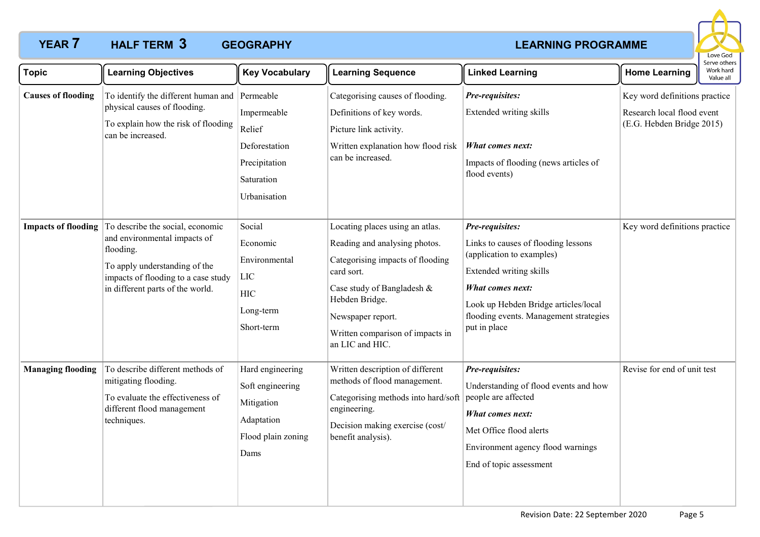# **YEAR 7 HALF TERM 3 GEOGRAPHY CONSUMING PROGRAMME HALF TERM GEOGRAPHY 3**



| <b>Topic</b>               | <b>Learning Objectives</b>                                                                                                                                                                | <b>Key Vocabulary</b>                                                                          | <b>Learning Sequence</b>                                                                                                                                                                                                                       | <b>Linked Learning</b>                                                                                                                                                                                                               | <b>Home Learning</b>                                                                     | Work hard<br>Value all |
|----------------------------|-------------------------------------------------------------------------------------------------------------------------------------------------------------------------------------------|------------------------------------------------------------------------------------------------|------------------------------------------------------------------------------------------------------------------------------------------------------------------------------------------------------------------------------------------------|--------------------------------------------------------------------------------------------------------------------------------------------------------------------------------------------------------------------------------------|------------------------------------------------------------------------------------------|------------------------|
| <b>Causes of flooding</b>  | To identify the different human and Permeable<br>physical causes of flooding.<br>To explain how the risk of flooding<br>can be increased.                                                 | Impermeable<br>Relief<br>Deforestation<br>Precipitation<br>Saturation<br>Urbanisation          | Categorising causes of flooding.<br>Definitions of key words.<br>Picture link activity.<br>Written explanation how flood risk<br>can be increased.                                                                                             | Pre-requisites:<br>Extended writing skills<br>What comes next:<br>Impacts of flooding (news articles of<br>flood events)                                                                                                             | Key word definitions practice<br>Research local flood event<br>(E.G. Hebden Bridge 2015) |                        |
| <b>Impacts of flooding</b> | To describe the social, economic<br>and environmental impacts of<br>flooding.<br>To apply understanding of the<br>impacts of flooding to a case study<br>in different parts of the world. | Social<br>Economic<br>Environmental<br>LIC<br><b>HIC</b><br>Long-term<br>Short-term            | Locating places using an atlas.<br>Reading and analysing photos.<br>Categorising impacts of flooding<br>card sort.<br>Case study of Bangladesh &<br>Hebden Bridge.<br>Newspaper report.<br>Written comparison of impacts in<br>an LIC and HIC. | Pre-requisites:<br>Links to causes of flooding lessons<br>(application to examples)<br>Extended writing skills<br>What comes next:<br>Look up Hebden Bridge articles/local<br>flooding events. Management strategies<br>put in place | Key word definitions practice                                                            |                        |
| <b>Managing flooding</b>   | To describe different methods of<br>mitigating flooding.<br>To evaluate the effectiveness of<br>different flood management<br>techniques.                                                 | Hard engineering<br>Soft engineering<br>Mitigation<br>Adaptation<br>Flood plain zoning<br>Dams | Written description of different<br>methods of flood management.<br>Categorising methods into hard/soft<br>engineering.<br>Decision making exercise (cost/<br>benefit analysis).                                                               | Pre-requisites:<br>Understanding of flood events and how<br>people are affected<br>What comes next:<br>Met Office flood alerts<br>Environment agency flood warnings<br>End of topic assessment                                       | Revise for end of unit test                                                              |                        |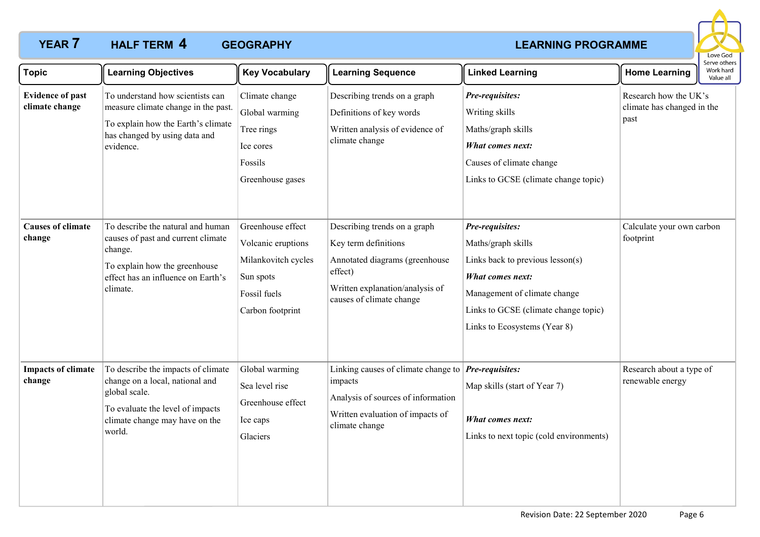# **YEAR 7 HALF TERM 4 GEOGRAPHY CONSERVANT CONSERVATION CONSERVATION CONSERVATION CONSERVATION CONSERVATION HALF TERM GEOGRAPHY 4**



| <b>Topic</b>                              | <b>Learning Objectives</b>                                                                                                                                             | <b>Key Vocabulary</b>                                                                                           | <b>Learning Sequence</b>                                                                                                                                         | <b>Linked Learning</b>                                                                                                                                                                                | <b>Home Learning</b>                                        | serve other:<br>Work hard<br>Value all |
|-------------------------------------------|------------------------------------------------------------------------------------------------------------------------------------------------------------------------|-----------------------------------------------------------------------------------------------------------------|------------------------------------------------------------------------------------------------------------------------------------------------------------------|-------------------------------------------------------------------------------------------------------------------------------------------------------------------------------------------------------|-------------------------------------------------------------|----------------------------------------|
| <b>Evidence of past</b><br>climate change | To understand how scientists can<br>measure climate change in the past.<br>To explain how the Earth's climate<br>has changed by using data and<br>evidence.            | Climate change<br>Global warming<br>Tree rings<br>Ice cores<br>Fossils<br>Greenhouse gases                      | Describing trends on a graph<br>Definitions of key words<br>Written analysis of evidence of<br>climate change                                                    | Pre-requisites:<br>Writing skills<br>Maths/graph skills<br><b>What comes next:</b><br>Causes of climate change<br>Links to GCSE (climate change topic)                                                | Research how the UK's<br>climate has changed in the<br>past |                                        |
| <b>Causes of climate</b><br>change        | To describe the natural and human<br>causes of past and current climate<br>change.<br>To explain how the greenhouse<br>effect has an influence on Earth's<br>climate.  | Greenhouse effect<br>Volcanic eruptions<br>Milankovitch cycles<br>Sun spots<br>Fossil fuels<br>Carbon footprint | Describing trends on a graph<br>Key term definitions<br>Annotated diagrams (greenhouse<br>effect)<br>Written explanation/analysis of<br>causes of climate change | Pre-requisites:<br>Maths/graph skills<br>Links back to previous lesson(s)<br>What comes next:<br>Management of climate change<br>Links to GCSE (climate change topic)<br>Links to Ecosystems (Year 8) | Calculate your own carbon<br>footprint                      |                                        |
| <b>Impacts of climate</b><br>change       | To describe the impacts of climate<br>change on a local, national and<br>global scale.<br>To evaluate the level of impacts<br>climate change may have on the<br>world. | Global warming<br>Sea level rise<br>Greenhouse effect<br>Ice caps<br>Glaciers                                   | Linking causes of climate change to<br>impacts<br>Analysis of sources of information<br>Written evaluation of impacts of<br>climate change                       | Pre-requisites:<br>Map skills (start of Year 7)<br><b>What comes next:</b><br>Links to next topic (cold environments)                                                                                 | Research about a type of<br>renewable energy                |                                        |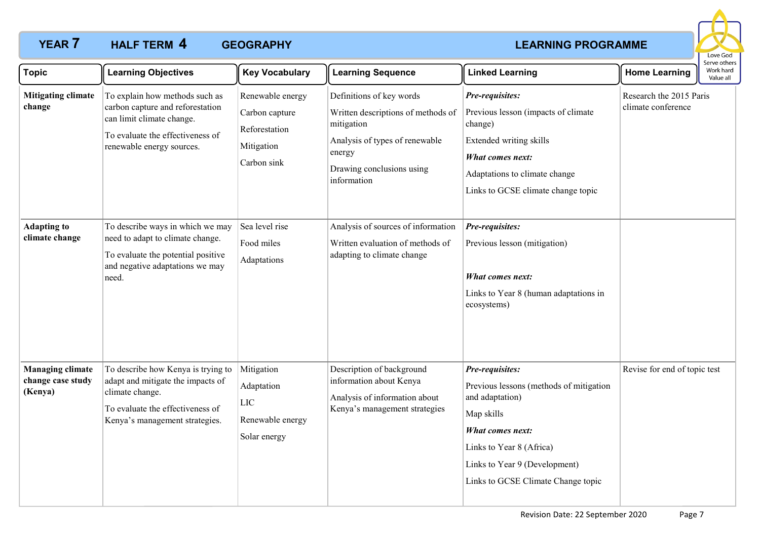# **YEAR 7 HALF TERM 4 GEOGRAPHY CONSERVANT CONSERVATION CONSERVATION CONSERVATION CONSERVATION CONSERVATION HALF TERM GEOGRAPHY 4**



| <b>Topic</b>                                            | <b>Learning Objectives</b>                                                                                                                                       | <b>Key Vocabulary</b>                                                            | <b>Learning Sequence</b>                                                                                                                                             | <b>Linked Learning</b>                                                                                                                                                                                             | <b>Home Learning</b>                          | Serve others<br>Work hard<br>Value all |
|---------------------------------------------------------|------------------------------------------------------------------------------------------------------------------------------------------------------------------|----------------------------------------------------------------------------------|----------------------------------------------------------------------------------------------------------------------------------------------------------------------|--------------------------------------------------------------------------------------------------------------------------------------------------------------------------------------------------------------------|-----------------------------------------------|----------------------------------------|
| <b>Mitigating climate</b><br>change                     | To explain how methods such as<br>carbon capture and reforestation<br>can limit climate change.<br>To evaluate the effectiveness of<br>renewable energy sources. | Renewable energy<br>Carbon capture<br>Reforestation<br>Mitigation<br>Carbon sink | Definitions of key words<br>Written descriptions of methods of<br>mitigation<br>Analysis of types of renewable<br>energy<br>Drawing conclusions using<br>information | Pre-requisites:<br>Previous lesson (impacts of climate<br>change)<br>Extended writing skills<br><b>What comes next:</b><br>Adaptations to climate change<br>Links to GCSE climate change topic                     | Research the 2015 Paris<br>climate conference |                                        |
| <b>Adapting to</b><br>climate change                    | To describe ways in which we may<br>need to adapt to climate change.<br>To evaluate the potential positive<br>and negative adaptations we may<br>need.           | Sea level rise<br>Food miles<br>Adaptations                                      | Analysis of sources of information<br>Written evaluation of methods of<br>adapting to climate change                                                                 | Pre-requisites:<br>Previous lesson (mitigation)<br>What comes next:<br>Links to Year 8 (human adaptations in<br>ecosystems)                                                                                        |                                               |                                        |
| <b>Managing climate</b><br>change case study<br>(Kenya) | To describe how Kenya is trying to<br>adapt and mitigate the impacts of<br>climate change.<br>To evaluate the effectiveness of<br>Kenya's management strategies. | Mitigation<br>Adaptation<br>LIC<br>Renewable energy<br>Solar energy              | Description of background<br>information about Kenya<br>Analysis of information about<br>Kenya's management strategies                                               | Pre-requisites:<br>Previous lessons (methods of mitigation<br>and adaptation)<br>Map skills<br>What comes next:<br>Links to Year 8 (Africa)<br>Links to Year 9 (Development)<br>Links to GCSE Climate Change topic | Revise for end of topic test                  |                                        |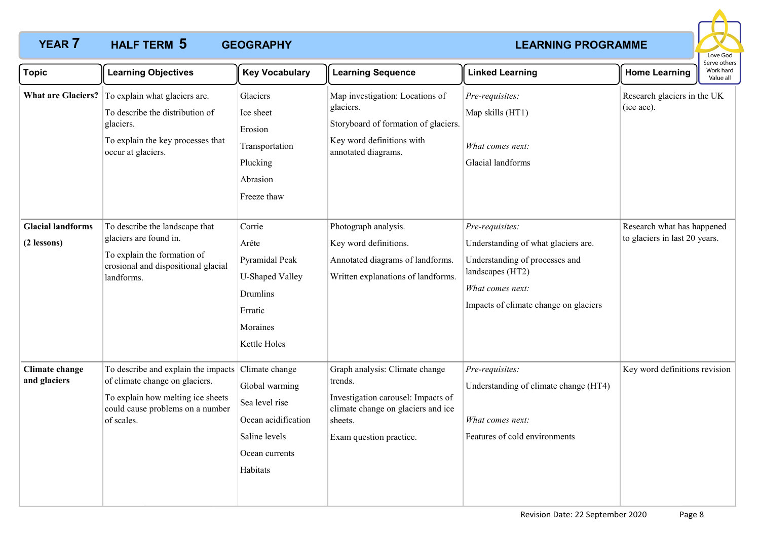# **YEAR 7 HALF TERM 5 GEOGRAPHY CONSERVANT CONSERVANT CONSERVANT CONSERVANT CONSERVANT CONSERVANT CONSERVANT CONSERVANT CONSERVANT CONSERVANT CONSERVANT CONSERVATION OF A CONSERVANT CONSERVANT CONSERVANT CONSERVANT CON HALF TERM GEOGRAPHY 5**



| <b>Topic</b>                            | <b>Learning Objectives</b>                                                                                                                                   | <b>Key Vocabulary</b>                                                                                                    | <b>Learning Sequence</b>                                                                                                                                    | <b>Linked Learning</b>                                                                                                                                                    | <b>Home Learning</b>                                        | יוטער אינויינ<br>Work hard<br>Value all |
|-----------------------------------------|--------------------------------------------------------------------------------------------------------------------------------------------------------------|--------------------------------------------------------------------------------------------------------------------------|-------------------------------------------------------------------------------------------------------------------------------------------------------------|---------------------------------------------------------------------------------------------------------------------------------------------------------------------------|-------------------------------------------------------------|-----------------------------------------|
|                                         | What are Glaciers? To explain what glaciers are.<br>To describe the distribution of<br>glaciers.<br>To explain the key processes that<br>occur at glaciers.  | Glaciers<br>Ice sheet<br>Erosion<br>Transportation<br>Plucking<br>Abrasion<br>Freeze thaw                                | Map investigation: Locations of<br>glaciers.<br>Storyboard of formation of glaciers.<br>Key word definitions with<br>annotated diagrams.                    | Pre-requisites:<br>Map skills (HT1)<br>What comes next:<br>Glacial landforms                                                                                              | Research glaciers in the UK<br>(ice ace).                   |                                         |
| <b>Glacial landforms</b><br>(2 lessons) | To describe the landscape that<br>glaciers are found in.<br>To explain the formation of<br>erosional and dispositional glacial<br>landforms.                 | Corrie<br>Arête<br>Pyramidal Peak<br><b>U-Shaped Valley</b><br>Drumlins<br>Erratic<br>Moraines<br>Kettle Holes           | Photograph analysis.<br>Key word definitions.<br>Annotated diagrams of landforms.<br>Written explanations of landforms.                                     | Pre-requisites:<br>Understanding of what glaciers are.<br>Understanding of processes and<br>landscapes (HT2)<br>What comes next:<br>Impacts of climate change on glaciers | Research what has happened<br>to glaciers in last 20 years. |                                         |
| Climate change<br>and glaciers          | To describe and explain the impacts<br>of climate change on glaciers.<br>To explain how melting ice sheets<br>could cause problems on a number<br>of scales. | Climate change<br>Global warming<br>Sea level rise<br>Ocean acidification<br>Saline levels<br>Ocean currents<br>Habitats | Graph analysis: Climate change<br>trends.<br>Investigation carousel: Impacts of<br>climate change on glaciers and ice<br>sheets.<br>Exam question practice. | Pre-requisites:<br>Understanding of climate change (HT4)<br>What comes next:<br>Features of cold environments                                                             | Key word definitions revision                               |                                         |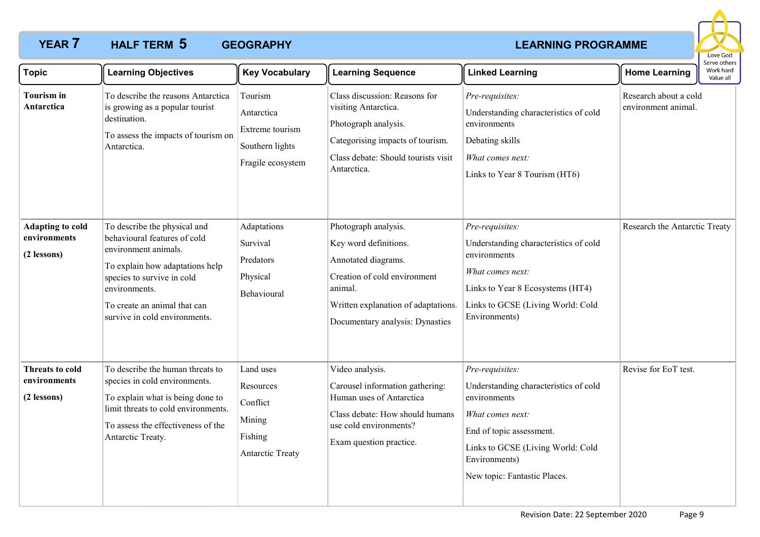# **YEAR 7 HALF TERM 5 GEOGRAPHY CONSERVANT CONSERVANT CONSERVANT CONSERVANT CONSERVANT CONSERVANT CONSERVANT CONSERVANT CONSERVANT CONSERVANT CONSERVANT CONSERVATION OF A CONSERVANT CONSERVANT CONSERVANT CONSERVANT CON HALF TERM GEOGRAPHY 5**



| <b>Topic</b>                                           | <b>Learning Objectives</b>                                                                                                                                                                                                              | <b>Key Vocabulary</b>                                                              | <b>Learning Sequence</b>                                                                                                                                                                  | <b>Linked Learning</b>                                                                                                                                                                                         | <b>Home Learning</b>                         | Serve others<br>Work hard<br>Value all |
|--------------------------------------------------------|-----------------------------------------------------------------------------------------------------------------------------------------------------------------------------------------------------------------------------------------|------------------------------------------------------------------------------------|-------------------------------------------------------------------------------------------------------------------------------------------------------------------------------------------|----------------------------------------------------------------------------------------------------------------------------------------------------------------------------------------------------------------|----------------------------------------------|----------------------------------------|
| <b>Tourism</b> in<br>Antarctica                        | To describe the reasons Antarctica<br>is growing as a popular tourist<br>destination.<br>To assess the impacts of tourism on<br>Antarctica.                                                                                             | Tourism<br>Antarctica<br>Extreme tourism<br>Southern lights<br>Fragile ecosystem   | Class discussion: Reasons for<br>visiting Antarctica.<br>Photograph analysis.<br>Categorising impacts of tourism.<br>Class debate: Should tourists visit<br>Antarctica.                   | Pre-requisites:<br>Understanding characteristics of cold<br>environments<br>Debating skills<br>What comes next:<br>Links to Year 8 Tourism (HT6)                                                               | Research about a cold<br>environment animal. |                                        |
| <b>Adapting to cold</b><br>environments<br>(2 lessons) | To describe the physical and<br>behavioural features of cold<br>environment animals.<br>To explain how adaptations help<br>species to survive in cold<br>environments.<br>To create an animal that can<br>survive in cold environments. | Adaptations<br>Survival<br>Predators<br>Physical<br>Behavioural                    | Photograph analysis.<br>Key word definitions.<br>Annotated diagrams.<br>Creation of cold environment<br>animal.<br>Written explanation of adaptations.<br>Documentary analysis: Dynasties | Pre-requisites:<br>Understanding characteristics of cold<br>environments<br>What comes next:<br>Links to Year 8 Ecosystems (HT4)<br>Links to GCSE (Living World: Cold<br>Environments)                         | Research the Antarctic Treaty                |                                        |
| Threats to cold<br>environments<br>(2 lessons)         | To describe the human threats to<br>species in cold environments.<br>To explain what is being done to<br>limit threats to cold environments.<br>To assess the effectiveness of the<br>Antarctic Treaty.                                 | Land uses<br>Resources<br>Conflict<br>Mining<br>Fishing<br><b>Antarctic Treaty</b> | Video analysis.<br>Carousel information gathering:<br>Human uses of Antarctica<br>Class debate: How should humans<br>use cold environments?<br>Exam question practice.                    | Pre-requisites:<br>Understanding characteristics of cold<br>environments<br>What comes next:<br>End of topic assessment.<br>Links to GCSE (Living World: Cold<br>Environments)<br>New topic: Fantastic Places. | Revise for EoT test.                         |                                        |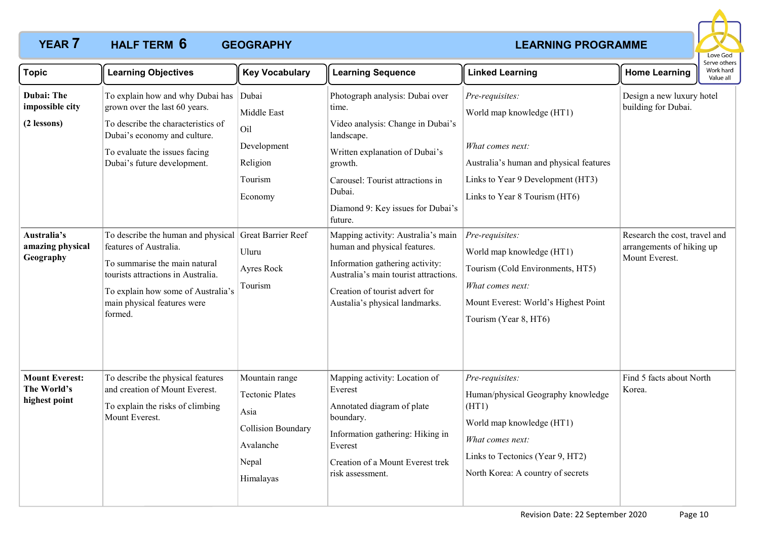# **YEAR 7 HALF TERM 6 GEOGRAPHY CONSERVANT CONSERVATION CONSERVATION CONSERVATION CONSERVATION CONSERVATION HALF TERM GEOGRAPHY 6**



| <b>Topic</b>                                                                                 | <b>Learning Objectives</b>                                                                                                                                                                                                                                                                                                                                                                                                                        | <b>Key Vocabulary</b>                                                                                            | <b>Learning Sequence</b>                                                                                                                                                                                                                                                                                                                                                                                                                                     | <b>Linked Learning</b>                                                                                                                                                                                                                                                                                                                                     | <b>Home Learning</b>                                                                                                             | serve others<br>Work hard<br>Value all |
|----------------------------------------------------------------------------------------------|---------------------------------------------------------------------------------------------------------------------------------------------------------------------------------------------------------------------------------------------------------------------------------------------------------------------------------------------------------------------------------------------------------------------------------------------------|------------------------------------------------------------------------------------------------------------------|--------------------------------------------------------------------------------------------------------------------------------------------------------------------------------------------------------------------------------------------------------------------------------------------------------------------------------------------------------------------------------------------------------------------------------------------------------------|------------------------------------------------------------------------------------------------------------------------------------------------------------------------------------------------------------------------------------------------------------------------------------------------------------------------------------------------------------|----------------------------------------------------------------------------------------------------------------------------------|----------------------------------------|
| Dubai: The<br>impossible city<br>(2 lessons)<br>Australia's<br>amazing physical<br>Geography | To explain how and why Dubai has<br>grown over the last 60 years.<br>To describe the characteristics of<br>Dubai's economy and culture.<br>To evaluate the issues facing<br>Dubai's future development.<br>To describe the human and physical Great Barrier Reef<br>features of Australia.<br>To summarise the main natural<br>tourists attractions in Australia.<br>To explain how some of Australia's<br>main physical features were<br>formed. | Dubai<br>Middle East<br>Oil<br>Development<br>Religion<br>Tourism<br>Economy<br>Uluru<br>Ayres Rock<br>Tourism   | Photograph analysis: Dubai over<br>time.<br>Video analysis: Change in Dubai's<br>landscape.<br>Written explanation of Dubai's<br>growth.<br>Carousel: Tourist attractions in<br>Dubai.<br>Diamond 9: Key issues for Dubai's<br>future.<br>Mapping activity: Australia's main<br>human and physical features.<br>Information gathering activity:<br>Australia's main tourist attractions.<br>Creation of tourist advert for<br>Austalia's physical landmarks. | Pre-requisites:<br>World map knowledge (HT1)<br>What comes next:<br>Australia's human and physical features<br>Links to Year 9 Development (HT3)<br>Links to Year 8 Tourism (HT6)<br>Pre-requisites:<br>World map knowledge (HT1)<br>Tourism (Cold Environments, HT5)<br>What comes next:<br>Mount Everest: World's Highest Point<br>Tourism (Year 8, HT6) | Design a new luxury hotel<br>building for Dubai.<br>Research the cost, travel and<br>arrangements of hiking up<br>Mount Everest. |                                        |
| <b>Mount Everest:</b><br>The World's<br>highest point                                        | To describe the physical features<br>and creation of Mount Everest.<br>To explain the risks of climbing<br>Mount Everest.                                                                                                                                                                                                                                                                                                                         | Mountain range<br><b>Tectonic Plates</b><br>Asia<br><b>Collision Boundary</b><br>Avalanche<br>Nepal<br>Himalayas | Mapping activity: Location of<br>Everest<br>Annotated diagram of plate<br>boundary.<br>Information gathering: Hiking in<br>Everest<br>Creation of a Mount Everest trek<br>risk assessment.                                                                                                                                                                                                                                                                   | Pre-requisites:<br>Human/physical Geography knowledge<br>(HT1)<br>World map knowledge (HT1)<br>What comes next:<br>Links to Tectonics (Year 9, HT2)<br>North Korea: A country of secrets                                                                                                                                                                   | Find 5 facts about North<br>Korea.                                                                                               |                                        |